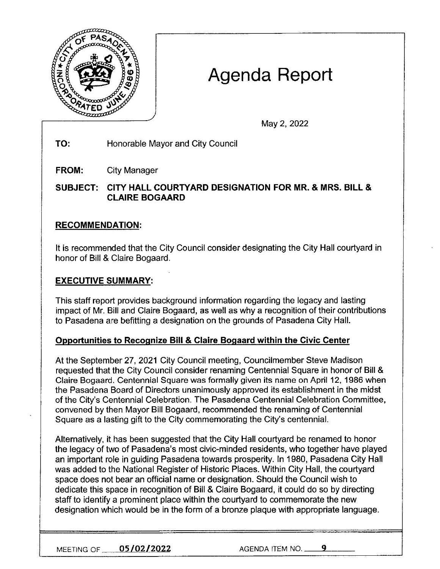

# Agenda Report

May 2, 2022

**TO:** Honorable Mayor and City Council

**FROM:** City Manager

**SUBJECT: CITY HALL COURTYARD DESIGNATION FOR MR.** & **MRS. BILL** & **CLAIRE BOGAARD** 

# **RECOMMENDATION:**

It is recommended that the City Council consider designating the City Hall courtyard in honor of Bill & Claire Bogaard.

## **EXECUTIVE SUMMARY:**

This staff report provides background information regarding the legacy and lasting impact of Mr. Bill and Claire Bogaard, as well as why a recognition of their contributions to Pasadena are befitting a designation on the grounds of Pasadena City Hall.

## **Opportunities to Recognize Bill** & **Claire Bogaard within the Civic Center**

At the September 27, 2021 City Council meeting, Councilmember Steve Madison requested that the City Council consider renaming Centennial Square in honor of Bill & Claire Bogaard. Centennial Square was formally given its name on April 12, 1986 when the Pasadena Board of Directors unanimously approved its establishment in the midst of the City's Centennial Celebration. The Pasadena Centennial Celebration Committee, convened by then Mayor Bill Bogaard, recommended the renaming of Centennial Square as a lasting gift to the City commemorating the City's centennial.

Alternatively, it has been suggested that the City Hall courtyard be renamed to honor the legacy of two of Pasadena's most civic-minded residents, who together have played an important role in guiding Pasadena towards prosperity. In 1980, Pasadena City Hall was added to the National Register of Historic Places. Within City Hall, the courtyard space does not bear an official name or designation. Should the Council wish to dedicate this space in recognition of Bill & Claire Bogaard, it could do so by directing staff to identify a prominent place within the courtyard to commemorate the new designation which would be in the form of a bronze plaque with appropriate language.

**MEETING OF <u>105/02/2022</u>** AGENDA ITEM NO. <u>9</u>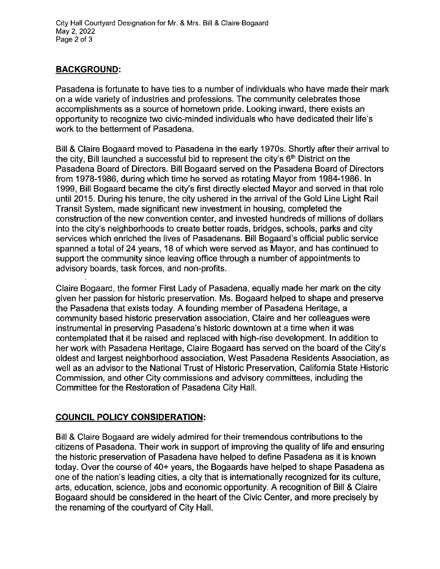City Hall Courtyard Designation for Mr. & Mrs. Bill & Claire Bogaard May 2, 2022 Page 2 of 3

### **BACKGROUND:**

Pasadena is fortunate to have ties to a number of individuals who have made their mark on a wide variety of industries and professions. The community celebrates those accomplishments as a source of hometown pride. Looking inward, there exists an opportunity to recognize two civic-minded individuals who have dedicated their life's work to the betterment of Pasadena.

Bill & Claire Bogaard moved to Pasadena in the early 1970s. Shortly after their arrival to the city, Bill launched a successful bid to represent the city's  $6<sup>th</sup>$  District on the Pasadena Board of Directors. Bill Bogaard served on the Pasadena Board of Directors from 1978-1986, during which time he served as rotating Mayor from 1984-1986. In 1999, Bill Bogaard became the city's first directly elected Mayor and served in that role until 2015. During his tenure, the city ushered in the arrival of the Gold Line Light Rail Transit System, made significant new investment in housing, completed the construction of the new convention center, and invested hundreds of millions of dollars into the city's neighborhoods to create better roads, bridges, schools, parks and city services which enriched the lives of Pasadenans. Bill Bogaard's official public service spanned a total of 24 years, 18 of which were served as Mayor, and has continued to support the community since leaving office through a number of appointments to advisory boards, task forces, and non-profits.

Claire Bogaard, the former First Lady of Pasadena, equally made her mark on the city given her passion for historic preservation. Ms. Bogaard helped to shape and preserve the Pasadena that exists today. A founding member of Pasadena Heritage, a community based historic preservation association, Claire and her colleagues were instrumental in preserving Pasadena's historic downtown at a time when it was contemplated that it be raised and replaced with high-rise development. In addition to her work with Pasadena Heritage, Claire Bogaard has served on the board of the City's oldest and largest neighborhood association, West Pasadena Residents Association, as well as an advisor to the National Trust of Historic Preservation, California State Historic Commission, and other City commissions and advisory committees, including the Committee for the Restoration of Pasadena City Hall.

## **COUNCIL POLICY CONSIDERATION:**

Bill & Claire Bogaard are widely admired for their tremendous contributions to the citizens of Pasadena. Their work in support of improving the quality of life and ensuring the historic preservation of Pasadena have helped to define Pasadena as it is known today. Over the course of 40+ years, the Bogaards have helped to shape Pasadena as one of the nation's leading cities, a city that is internationally recognized for its culture, arts, education, science, jobs and economic opportunity. A recognition of Bill & Claire Bogaard should be considered in the heart of the Civic Center, and more precisely by the renaming of the courtyard of City Hall.